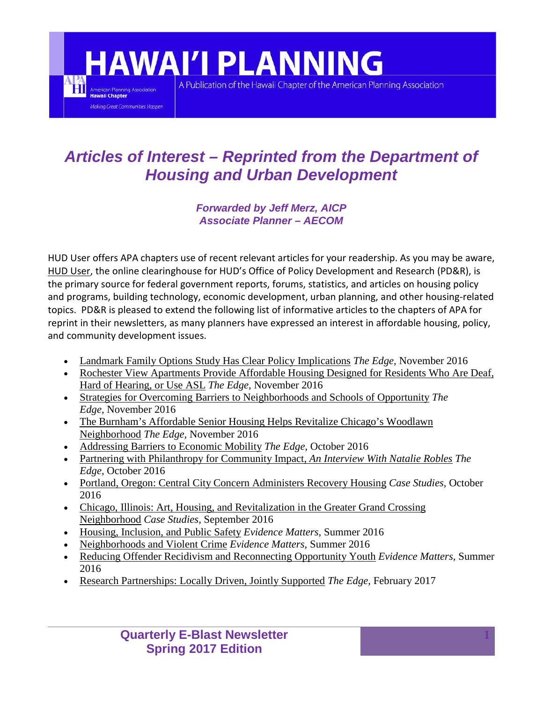## **HAWAI'I PLANNING**

ĦĨ

American Planning Association **Jawaii Chapter** 

Making Great Communities Happen

A Publication of the Hawaii Chapter of the American Planning Association

## *Articles of Interest – Reprinted from the Department of Housing and Urban Development*

*Forwarded by Jeff Merz, AICP Associate Planner – AECOM* 

HUD User offers APA chapters use of recent relevant articles for your readership. As you may be aware, [HUD User,](http://www.huduser.gov/portal/home.html) the online clearinghouse for HUD's Office of Policy Development and Research (PD&R), is the primary source for federal government reports, forums, statistics, and articles on housing policy and programs, building technology, economic development, urban planning, and other housing-related topics. PD&R is pleased to extend the following list of informative articles to the chapters of APA for reprint in their newsletters, as many planners have expressed an interest in affordable housing, policy, and community development issues.

- [Landmark Family Options Study Has Clear Policy Implications](https://www.huduser.gov/portal/pdredge/pdr-edge-featd-article-110716.html) *The Edge,* November 2016
- [Rochester View Apartments Provide Affordable Housing Designed for Residents Who Are Deaf,](https://www.huduser.gov/portal/pdredge/pdr-edge-inpractice-110716.html)  [Hard of Hearing, or Use ASL](https://www.huduser.gov/portal/pdredge/pdr-edge-inpractice-110716.html) *The Edge,* November 2016
- [Strategies for Overcoming Barriers to Neighborhoods and Schools of Opportunity](https://www.huduser.gov/portal/pdredge/pdr-edge-featd-article-112116.html) *The Edge,* November 2016
- The Burnham's [Affordable Senior Housing Helps Revitalize Chicago's Woodlawn](https://www.huduser.gov/portal/pdredge/pdr-edge-inpractice-112116.html)  [Neighborhood](https://www.huduser.gov/portal/pdredge/pdr-edge-inpractice-112116.html) *The Edge,* November 2016
- [Addressing Barriers to Economic Mobility](https://www.huduser.gov/portal/pdredge/pdr-edge-featd-article-101116.html) *The Edge,* October 2016
- [Partnering with Philanthropy for Community Impact,](https://www.huduser.gov/portal/pdredge/pdr-edge-trending-102416.html) *An Interview With Natalie Robles The Edge,* October 2016
- [Portland, Oregon: Central City Concern Administers Recovery Housing](https://www.huduser.gov/portal/casestudies/study-10172016.html) *Case Studies,* October 2016
- [Chicago, Illinois: Art, Housing, and Revitalization in the Greater Grand Crossing](https://www.huduser.gov/portal/casestudies/study-09212016.html)  [Neighborhood](https://www.huduser.gov/portal/casestudies/study-09212016.html) *Case Studies,* September 2016
- [Housing, Inclusion, and Public Safety](https://www.huduser.gov/portal/periodicals/em/summer16/highlight1.html) *Evidence Matters,* Summer 2016
- [Neighborhoods and Violent Crime](https://www.huduser.gov/portal/periodicals/em/summer16/highlight2.html) *Evidence Matters,* Summer 2016
- [Reducing Offender Recidivism and Reconnecting Opportunity Youth](https://www.huduser.gov/portal/periodicals/em/summer16/highlight3.html) *Evidence Matters,* Summer 2016
- [Research Partnerships: Locally Driven, Jointly Supported](https://www.huduser.gov/portal/pdredge/pdr-edge-frm-asst-sec-022117.html) *The Edge,* February 2017